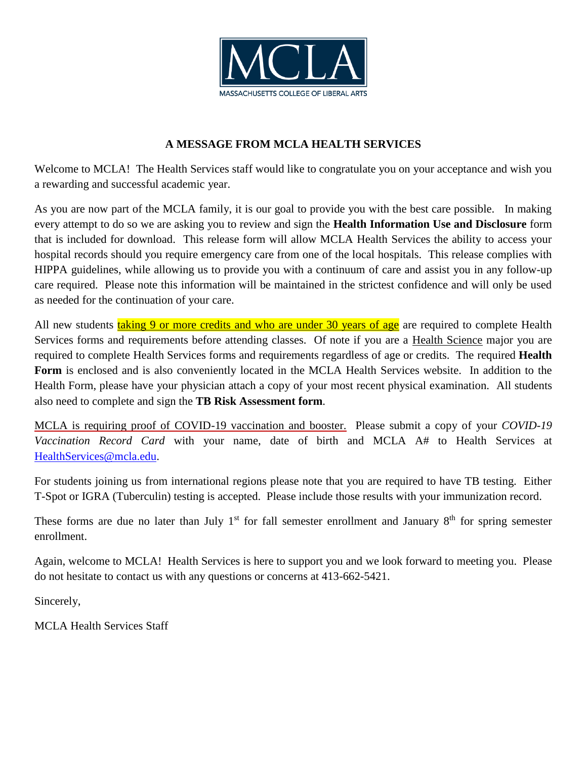

## **A MESSAGE FROM MCLA HEALTH SERVICES**

Welcome to MCLA! The Health Services staff would like to congratulate you on your acceptance and wish you a rewarding and successful academic year.

As you are now part of the MCLA family, it is our goal to provide you with the best care possible. In making every attempt to do so we are asking you to review and sign the **Health Information Use and Disclosure** form that is included for download. This release form will allow MCLA Health Services the ability to access your hospital records should you require emergency care from one of the local hospitals. This release complies with HIPPA guidelines, while allowing us to provide you with a continuum of care and assist you in any follow-up care required. Please note this information will be maintained in the strictest confidence and will only be used as needed for the continuation of your care.

All new students taking 9 or more credits and who are under 30 years of age are required to complete Health Services forms and requirements before attending classes. Of note if you are a Health Science major you are required to complete Health Services forms and requirements regardless of age or credits. The required **Health Form** is enclosed and is also conveniently located in the MCLA Health Services website. In addition to the Health Form, please have your physician attach a copy of your most recent physical examination. All students also need to complete and sign the **TB Risk Assessment form**.

MCLA is requiring proof of COVID-19 vaccination and booster. Please submit a copy of your *COVID-19 Vaccination Record Card* with your name, date of birth and MCLA A# to Health Services at [HealthServices@mcla.edu.](mailto:HealthServices@mcla.edu)

For students joining us from international regions please note that you are required to have TB testing. Either T-Spot or IGRA (Tuberculin) testing is accepted. Please include those results with your immunization record.

These forms are due no later than July  $1<sup>st</sup>$  for fall semester enrollment and January  $8<sup>th</sup>$  for spring semester enrollment.

Again, welcome to MCLA! Health Services is here to support you and we look forward to meeting you. Please do not hesitate to contact us with any questions or concerns at 413-662-5421.

Sincerely,

MCLA Health Services Staff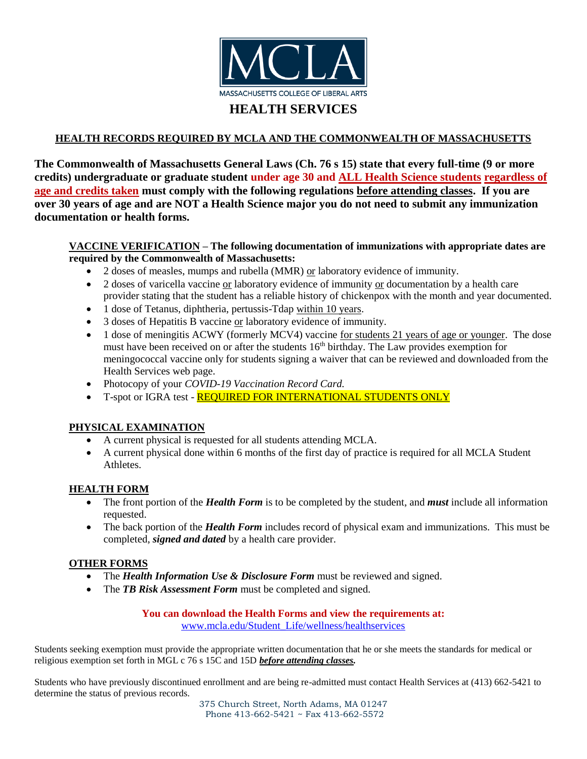

### **HEALTH RECORDS REQUIRED BY MCLA AND THE COMMONWEALTH OF MASSACHUSETTS**

**The Commonwealth of Massachusetts General Laws (Ch. 76 s 15) state that every full-time (9 or more credits) undergraduate or graduate student under age 30 and ALL Health Science students regardless of age and credits taken must comply with the following regulations before attending classes. If you are over 30 years of age and are NOT a Health Science major you do not need to submit any immunization documentation or health forms.**

### **VACCINE VERIFICATION – The following documentation of immunizations with appropriate dates are required by the Commonwealth of Massachusetts:**

- $\bullet$  2 doses of measles, mumps and rubella (MMR) or laboratory evidence of immunity.
- 2 doses of varicella vaccine or laboratory evidence of immunity or documentation by a health care provider stating that the student has a reliable history of chickenpox with the month and year documented.
- 1 dose of Tetanus, diphtheria, pertussis-Tdap within 10 years.
- 3 doses of Hepatitis B vaccine or laboratory evidence of immunity.
- 1 dose of meningitis ACWY (formerly MCV4) vaccine for students 21 years of age or younger. The dose must have been received on or after the students 16<sup>th</sup> birthday. The Law provides exemption for meningococcal vaccine only for students signing a waiver that can be reviewed and downloaded from the Health Services web page.
- Photocopy of your *COVID-19 Vaccination Record Card.*
- T-spot or IGRA test REQUIRED FOR INTERNATIONAL STUDENTS ONLY

### **PHYSICAL EXAMINATION**

- A current physical is requested for all students attending MCLA.
- A current physical done within 6 months of the first day of practice is required for all MCLA Student Athletes.

### **HEALTH FORM**

- The front portion of the *Health Form* is to be completed by the student, and *must* include all information requested.
- The back portion of the *Health Form* includes record of physical exam and immunizations. This must be completed, *signed and dated* by a health care provider.

### **OTHER FORMS**

- The *Health Information Use & Disclosure Form* must be reviewed and signed.
- The **TB Risk Assessment Form** must be completed and signed.

#### **You can download the Health Forms and view the requirements at:** [www.mcla.edu/Student\\_Life/wellness/healthservices](http://www.mcla.edu/Student_Life/wellness/healthservices)

Students seeking exemption must provide the appropriate written documentation that he or she meets the standards for medical or religious exemption set forth in MGL c 76 s 15C and 15D *before attending classes.*

Students who have previously discontinued enrollment and are being re-admitted must contact Health Services at (413) 662-5421 to determine the status of previous records.

> 375 Church Street, North Adams, MA 01247 Phone 413-662-5421 ~ Fax 413-662-5572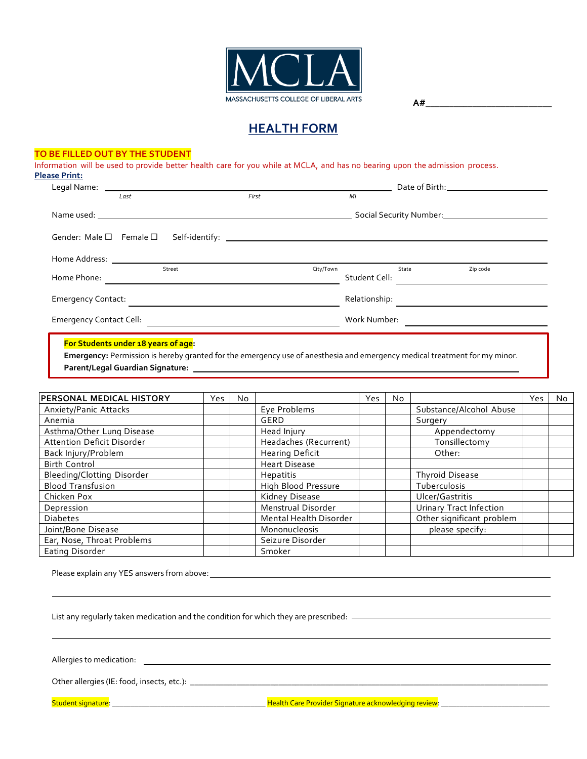

# **HEALTH FORM**

#### **TO BE FILLED OUT BY THE STUDENT**

Information will be used to provide better health care for you while at MCLA, and has no bearing upon the admission process. **Please Print:**

|                                         | Last                                                                                                                                                                                                                          | First                                                                                                                                                                                                                          |           | MI            |                                                            |          |  |
|-----------------------------------------|-------------------------------------------------------------------------------------------------------------------------------------------------------------------------------------------------------------------------------|--------------------------------------------------------------------------------------------------------------------------------------------------------------------------------------------------------------------------------|-----------|---------------|------------------------------------------------------------|----------|--|
|                                         |                                                                                                                                                                                                                               | Name used: the contract of the contract of the contract of the contract of the contract of the contract of the contract of the contract of the contract of the contract of the contract of the contract of the contract of the |           |               | Social Security Number:<br><u> Social Security Number:</u> |          |  |
| Gender: Male $\square$ Female $\square$ |                                                                                                                                                                                                                               |                                                                                                                                                                                                                                |           |               |                                                            |          |  |
|                                         | Home Address: The Contract of the Contract of the Contract of the Contract of the Contract of the Contract of the Contract of the Contract of the Contract of the Contract of the Contract of the Contract of the Contract of |                                                                                                                                                                                                                                |           |               |                                                            |          |  |
| Home Phone:                             | Street                                                                                                                                                                                                                        |                                                                                                                                                                                                                                | City/Town | Student Cell: | State                                                      | Zip code |  |
| <b>Emergency Contact:</b>               |                                                                                                                                                                                                                               |                                                                                                                                                                                                                                |           | Relationship: |                                                            |          |  |
| <b>Emergency Contact Cell:</b>          |                                                                                                                                                                                                                               |                                                                                                                                                                                                                                |           | Work Number:  |                                                            |          |  |
|                                         |                                                                                                                                                                                                                               |                                                                                                                                                                                                                                |           |               |                                                            |          |  |

#### **For Students under 18 years of age:**

 **Emergency:** Permission is hereby granted for the emergency use of anesthesia and emergency medical treatment for my minor.  **Parent/Legal Guardian Signature:** 

| <b>PERSONAL MEDICAL HISTORY</b> | Yes | No. |                        | Yes | No. |                           | Yes | No. |
|---------------------------------|-----|-----|------------------------|-----|-----|---------------------------|-----|-----|
| Anxiety/Panic Attacks           |     |     | Eye Problems           |     |     | Substance/Alcohol Abuse   |     |     |
| Anemia                          |     |     | GERD                   |     |     | Surgery                   |     |     |
| Asthma/Other Lung Disease       |     |     | Head Injury            |     |     | Appendectomy              |     |     |
| Attention Deficit Disorder      |     |     | Headaches (Recurrent)  |     |     | Tonsillectomy             |     |     |
| Back Injury/Problem             |     |     | <b>Hearing Deficit</b> |     |     | Other:                    |     |     |
| <b>Birth Control</b>            |     |     | <b>Heart Disease</b>   |     |     |                           |     |     |
| Bleeding/Clotting Disorder      |     |     | Hepatitis              |     |     | <b>Thyroid Disease</b>    |     |     |
| <b>Blood Transfusion</b>        |     |     | High Blood Pressure    |     |     | Tuberculosis              |     |     |
| Chicken Pox                     |     |     | Kidney Disease         |     |     | Ulcer/Gastritis           |     |     |
| Depression                      |     |     | Menstrual Disorder     |     |     | Urinary Tract Infection   |     |     |
| <b>Diabetes</b>                 |     |     | Mental Health Disorder |     |     | Other significant problem |     |     |
| Joint/Bone Disease              |     |     | Mononucleosis          |     |     | please specify:           |     |     |
| Ear, Nose, Throat Problems      |     |     | Seizure Disorder       |     |     |                           |     |     |
| Eating Disorder                 |     |     | Smoker                 |     |     |                           |     |     |

Please explain any YES answers from above:

List any regularly taken medication and the condition for which they are prescribed:

Allergies to medication:

Other allergies (IE: food, insects, etc.): \_\_\_\_\_\_\_\_\_\_\_\_\_\_\_\_\_\_\_\_\_\_\_\_\_\_\_\_\_\_\_\_\_\_\_\_\_\_\_\_\_\_\_\_\_\_\_\_\_\_\_\_\_\_\_\_\_\_\_\_\_\_\_\_\_\_\_\_\_\_\_\_\_\_\_\_\_\_\_\_\_\_\_\_\_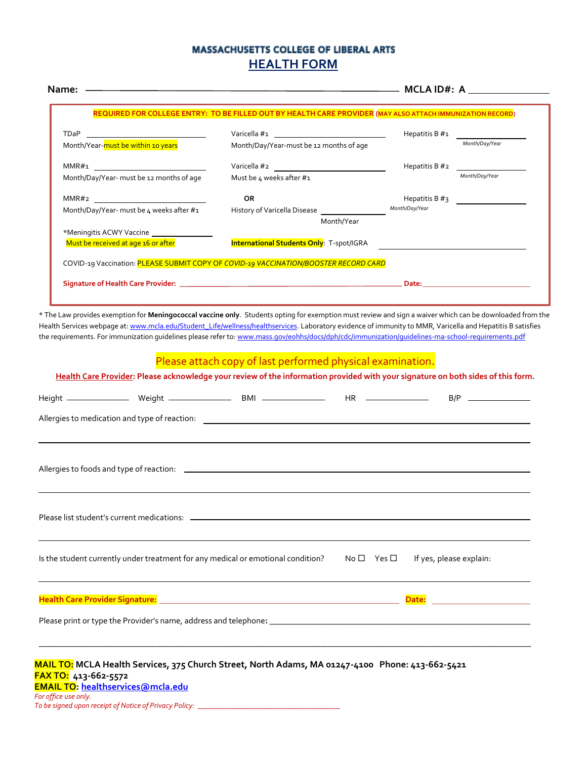## **MASSACHUSETTS COLLEGE OF LIBERAL ARTS HEALTH FORM**

|                                          |                | Hepatitis B $\#_1$                                                                                                                                            |
|------------------------------------------|----------------|---------------------------------------------------------------------------------------------------------------------------------------------------------------|
|                                          |                | Month/Day/Year                                                                                                                                                |
|                                          |                |                                                                                                                                                               |
| Must be 4 weeks after #1                 |                | Month/Day/Year                                                                                                                                                |
| <b>OR</b>                                |                |                                                                                                                                                               |
| Month/Day/Year- must be 4 weeks after #1 | Month/Day/Year |                                                                                                                                                               |
| Month/Year                               |                |                                                                                                                                                               |
|                                          |                |                                                                                                                                                               |
|                                          |                |                                                                                                                                                               |
|                                          |                | Month/Day/Year-must be 12 months of age<br>Varicella #2<br>Hepatitis B #2<br>History of Varicella Disease<br><b>International Students Only</b> : T-spot/IGRA |

\* The Law provides exemption for **Meningococcal vaccine only**. Students opting for exemption must review and sign a waiver which can be downloaded from the Health Services webpage at[: www.mcla.edu/Student\\_Life/wellness/healthservices.](http://www.mcla.edu/Student_Life/wellness/healthservices) Laboratory evidence of immunity to MMR, Varicella and Hepatitis B satisfies the requirements. For immunization guidelines please refer to[: www.mass.gov/eohhs/docs/dph/cdc/immunization/guidelines-ma-school-requirements.pdf](http://www.mass.gov/eohhs/docs/dph/cdc/immunization/guidelines-ma-school-requirements.pdf)

## Please attach copy of last performed physical examination.

**Health Care Provider: Please acknowledge your review of the information provided with your signature on both sides of this form.** Height Weight BMI HR B/P Allergies to medication and type of reaction: Allergies to foods and type of reaction: Please list student's current medications: Is the student currently under treatment for any medical or emotional condition? No  $\Box$  Yes  $\Box$  If yes, please explain: **Health Care Provider Signature: Date:** Please print or type the Provider's name, address and telephone**: \_\_\_\_\_\_\_\_\_\_\_\_\_\_\_\_\_\_\_\_\_\_\_\_\_\_\_\_\_\_\_\_\_\_\_\_\_\_\_\_\_\_\_\_\_\_\_\_\_\_\_\_\_\_\_\_\_\_\_\_\_\_ \_\_\_\_\_\_\_\_\_\_\_\_\_\_\_\_\_\_\_\_\_\_\_\_\_\_\_\_\_\_\_\_\_\_\_\_\_\_\_\_\_\_\_\_\_\_\_\_\_\_\_\_\_\_\_\_\_\_\_\_\_\_\_\_\_\_\_\_\_\_\_\_\_\_\_\_\_\_\_\_\_\_\_\_\_\_\_\_\_\_\_\_\_\_\_\_\_\_\_\_\_\_\_\_\_\_\_\_\_\_\_\_\_\_\_\_\_ MAIL TO: MCLA Health Services, 375 Church Street, North Adams, MA 01247-4100 Phone: 413-662-5421 FAX TO: 413-662-5572**

**EMAIL TO[: healthservices@mcla.edu](mailto:healthservices@mcla.edu)** *For office use only. To be signed upon receipt of Notice of Privacy Policy: \_\_\_\_\_\_\_\_\_\_\_\_\_\_\_\_\_\_\_\_\_\_\_\_\_\_\_\_\_\_\_\_\_\_\_\_\_\_*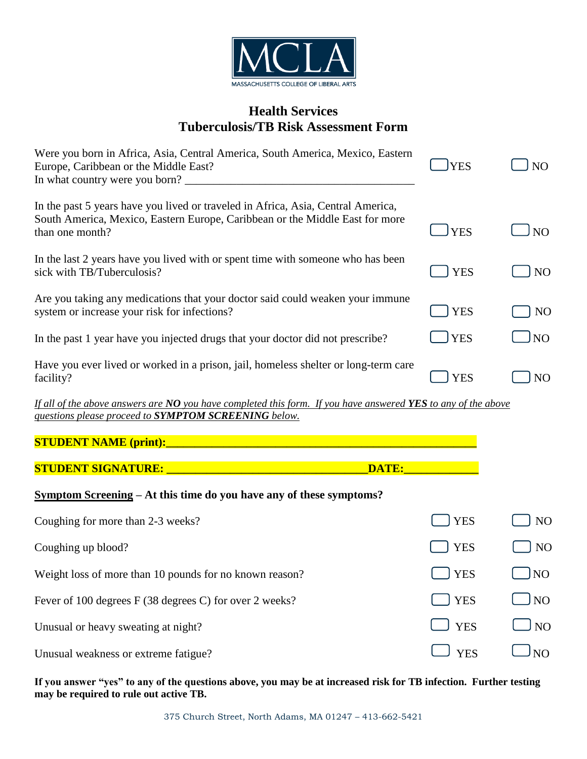

# **Health Services Tuberculosis/TB Risk Assessment Form**

| Were you born in Africa, Asia, Central America, South America, Mexico, Eastern<br>Europe, Caribbean or the Middle East?<br>In what country were you born?                           | <b>YES</b>  | NO              |
|-------------------------------------------------------------------------------------------------------------------------------------------------------------------------------------|-------------|-----------------|
| In the past 5 years have you lived or traveled in Africa, Asia, Central America,<br>South America, Mexico, Eastern Europe, Caribbean or the Middle East for more<br>than one month? | <b>JYES</b> | N <sub>O</sub>  |
| In the last 2 years have you lived with or spent time with some one who has been<br>sick with TB/Tuberculosis?                                                                      | <b>YES</b>  | N <sub>O</sub>  |
| Are you taking any medications that your doctor said could weaken your immune<br>system or increase your risk for infections?                                                       | <b>YES</b>  | NO              |
| In the past 1 year have you injected drugs that your doctor did not prescribe?                                                                                                      | <b>YES</b>  | NO <sub>1</sub> |
| Have you ever lived or worked in a prison, jail, homeless shelter or long-term care<br>facility?                                                                                    | YES         | N <sub>O</sub>  |

*If all of the above answers are NO you have completed this form. If you have answered YES to any of the above questions please proceed to SYMPTOM SCREENING below.*

## **STUDENT NAME (print):\_\_\_\_\_\_\_\_\_\_\_\_\_\_\_\_\_\_\_\_\_\_\_\_\_\_\_\_\_\_\_\_\_\_\_\_\_\_\_\_\_\_\_\_\_\_\_\_\_\_\_\_\_\_**

|  | <b>STUDENT SIGNATURE:</b> |
|--|---------------------------|
|  |                           |

## **Symptom Screening – At this time do you have any of these symptoms?**

| Coughing for more than 2-3 weeks?                       | YES        | N <sub>O</sub>        |
|---------------------------------------------------------|------------|-----------------------|
| Coughing up blood?                                      | l yes      | N <sub>O</sub>        |
| Weight loss of more than 10 pounds for no known reason? | l lyes     | $\overline{NQ}$       |
| Fever of 100 degrees F (38 degrees C) for over 2 weeks? | l lyes     | J NO                  |
| Unusual or heavy sweating at night?                     | $\Box$ YES | $\Box$ NO             |
| Unusual weakness or extreme fatigue?                    | <b>YES</b> | $\overline{\text{N}}$ |

 $\blacksquare$  Studient Signature  $\blacksquare$  and  $\blacksquare$  and  $\blacksquare$  and  $\blacksquare$  and  $\blacksquare$  and  $\blacksquare$ 

**If you answer "yes" to any of the questions above, you may be at increased risk for TB infection. Further testing may be required to rule out active TB.**